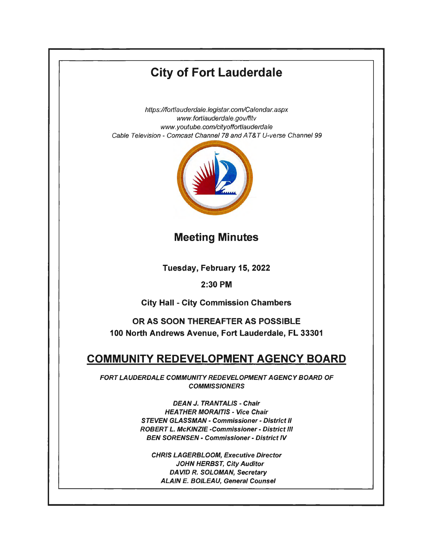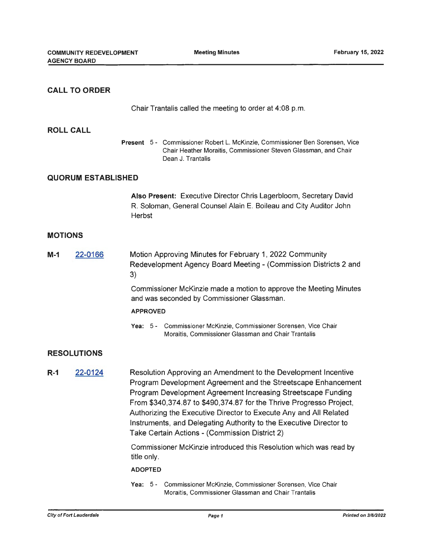## **CALL TO ORDER ROLL CALL**  Chair Trantalis called the meeting to order at 4:08 p.m. **Present** 5 - Commissioner Robert L. McKinzie, Commissioner Ben Sorensen, Vice Chair Heather Moraitis, Commissioner Steven Glassman, and Chair Dean J. Trantalis **QUORUM ESTABLISHED MOTIONS M-1** 22-0166 **RESOLUTIONS R-1** 22-0124 **Also Present:** Executive Director Chris Lagerbloom, Secretary David R. Soloman, General Counsel Alain E. Boileau and City Auditor John **Herbst** Motion Approving Minutes for February 1, 2022 Community Redevelopment Agency Board Meeting - (Commission Districts 2 and 3) Commissioner McKinzie made a motion to approve the Meeting Minutes and was seconded by Commissioner Glassman. **APPROVED Yea:** 5 - Commissioner McKinzie, Commissioner Sorensen, Vice Chair Moraitis, Commissioner Glassman and Chair Trantalis Resolution Approving an Amendment to the Development Incentive Program Development Agreement and the Streetscape Enhancement Program Development Agreement Increasing Streetscape Funding From \$340,374.87 to \$490,374.87 for the Thrive Progresso Project, Authorizing the Executive Director to Execute Any and All Related Instruments, and Delegating Authority to the Executive Director to Take Certain Actions - (Commission District 2) Commissioner McKinzie introduced this Resolution which was read by title only. **ADOPTED Yea:** 5 - Commissioner McKinzie, Commissioner Sorensen, Vice Chair

Moraitis, Commissioner Glassman and Chair Trantalis